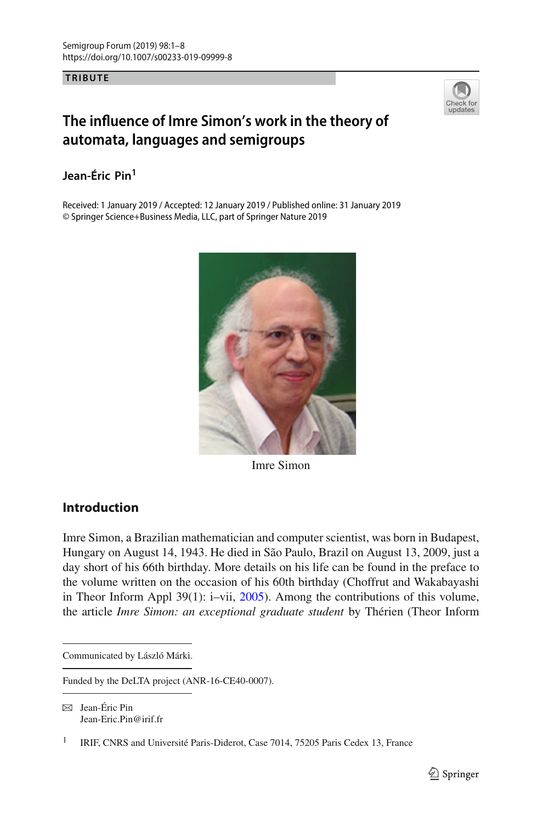**TRIBUTE**



# **The influence of Imre Simon's work in the theory of automata, languages and semigroups**

## **Jean-Éric Pin1**

Received: 1 January 2019 / Accepted: 12 January 2019 / Published online: 31 January 2019 © Springer Science+Business Media, LLC, part of Springer Nature 2019



Imre Simon

## **Introduction**

Imre Simon, a Brazilian mathematician and computer scientist, was born in Budapest, Hungary on August 14, 1943. He died in São Paulo, Brazil on August 13, 2009, just a day short of his 66th birthday. More details on his life can be found in the preface to the volume written on the occasion of his 60th birthday (Choffrut and Wakabayashi in Theor Inform Appl 39(1): i–vii, [2005\)](#page-5-0). Among the contributions of this volume, the article *Imre Simon: an exceptional graduate student* by Thérien (Theor Inform

 $\boxtimes$  Jean-Éric Pin Jean-Eric.Pin@irif.fr

Communicated by László Márki.

Funded by the DeLTA project (ANR-16-CE40-0007).

<sup>&</sup>lt;sup>1</sup> IRIF, CNRS and Université Paris-Diderot, Case 7014, 75205 Paris Cedex 13, France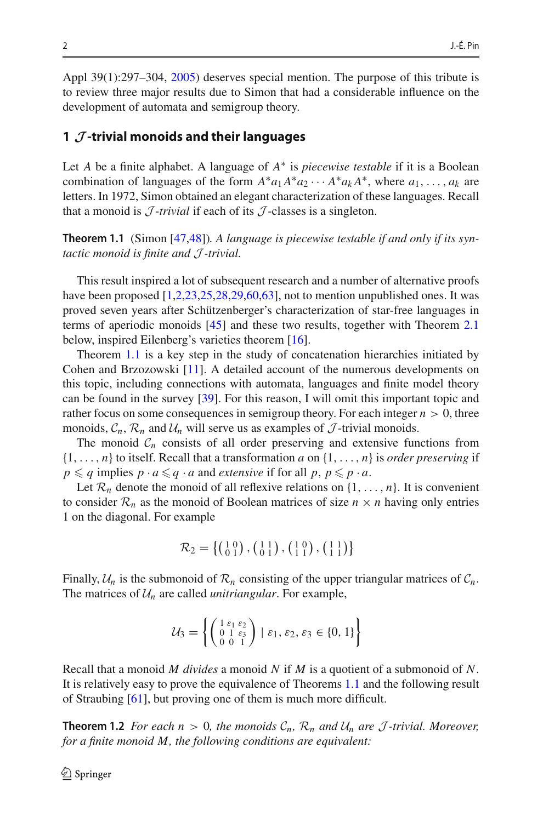Appl 39(1):297–304, [2005\)](#page-7-0) deserves special mention. The purpose of this tribute is to review three major results due to Simon that had a considerable influence on the development of automata and semigroup theory.

#### **1** *J* **-trivial monoids and their languages**

Let *A* be a finite alphabet. A language of *A*∗ is *piecewise testable* if it is a Boolean combination of languages of the form  $A^*a_1A^*a_2 \cdots A^*a_kA^*$ , where  $a_1, \ldots, a_k$  are letters. In 1972, Simon obtained an elegant characterization of these languages. Recall that a monoid is  $\mathcal{J}$ -*trivial* if each of its  $\mathcal{J}$ -classes is a singleton.

<span id="page-1-0"></span>**Theorem 1.1** (Simon [\[47](#page-7-1)[,48](#page-7-2)])*. A language is piecewise testable if and only if its syntactic monoid is finite and J -trivial.*

This result inspired a lot of subsequent research and a number of alternative proofs have been proposed  $[1,2,23,25,28,29,60,63]$  $[1,2,23,25,28,29,60,63]$  $[1,2,23,25,28,29,60,63]$  $[1,2,23,25,28,29,60,63]$  $[1,2,23,25,28,29,60,63]$  $[1,2,23,25,28,29,60,63]$  $[1,2,23,25,28,29,60,63]$  $[1,2,23,25,28,29,60,63]$ , not to mention unpublished ones. It was proved seven years after Schützenberger's characterization of star-free languages in terms of aperiodic monoids [\[45\]](#page-7-5) and these two results, together with Theorem [2.1](#page-3-0) below, inspired Eilenberg's varieties theorem [\[16\]](#page-5-3).

Theorem [1.1](#page-1-0) is a key step in the study of concatenation hierarchies initiated by Cohen and Brzozowski [\[11\]](#page-5-4). A detailed account of the numerous developments on this topic, including connections with automata, languages and finite model theory can be found in the survey [\[39](#page-6-4)]. For this reason, I will omit this important topic and rather focus on some consequences in semigroup theory. For each integer  $n > 0$ , three monoids,  $\mathcal{C}_n$ ,  $\mathcal{R}_n$  and  $\mathcal{U}_n$  will serve us as examples of  $\mathcal{J}$ -trivial monoids.

The monoid  $C_n$  consists of all order preserving and extensive functions from  $\{1,\ldots,n\}$  to itself. Recall that a transformation *a* on  $\{1,\ldots,n\}$  is *order preserving* if  $p \leq q$  implies  $p \cdot a \leq q \cdot a$  and *extensive* if for all  $p, p \leq p \cdot a$ .

Let  $\mathcal{R}_n$  denote the monoid of all reflexive relations on  $\{1,\ldots,n\}$ . It is convenient to consider  $\mathcal{R}_n$  as the monoid of Boolean matrices of size  $n \times n$  having only entries 1 on the diagonal. For example

$$
\mathcal{R}_2 = \left\{ \begin{pmatrix} 1 & 0 \\ 0 & 1 \end{pmatrix}, \begin{pmatrix} 1 & 1 \\ 0 & 1 \end{pmatrix}, \begin{pmatrix} 1 & 0 \\ 1 & 1 \end{pmatrix}, \begin{pmatrix} 1 & 1 \\ 1 & 1 \end{pmatrix} \right\}
$$

Finally,  $U_n$  is the submonoid of  $\mathcal{R}_n$  consisting of the upper triangular matrices of  $\mathcal{C}_n$ . The matrices of  $U_n$  are called *unitriangular*. For example,

$$
\mathcal{U}_3 = \left\{ \begin{pmatrix} 1 & \varepsilon_1 & \varepsilon_2 \\ 0 & 1 & \varepsilon_3 \\ 0 & 0 & 1 \end{pmatrix} \mid \varepsilon_1, \varepsilon_2, \varepsilon_3 \in \{0, 1\} \right\}
$$

Recall that a monoid *M divides* a monoid *N* if *M* is a quotient of a submonoid of *N*. It is relatively easy to prove the equivalence of Theorems [1.1](#page-1-0) and the following result of Straubing [\[61](#page-7-6)], but proving one of them is much more difficult.

**Theorem 1.2** *For each n* > 0*, the monoids*  $C_n$ *,*  $R_n$  *and*  $U_n$  *are J*-trivial. Moreover, *for a finite monoid M, the following conditions are equivalent:*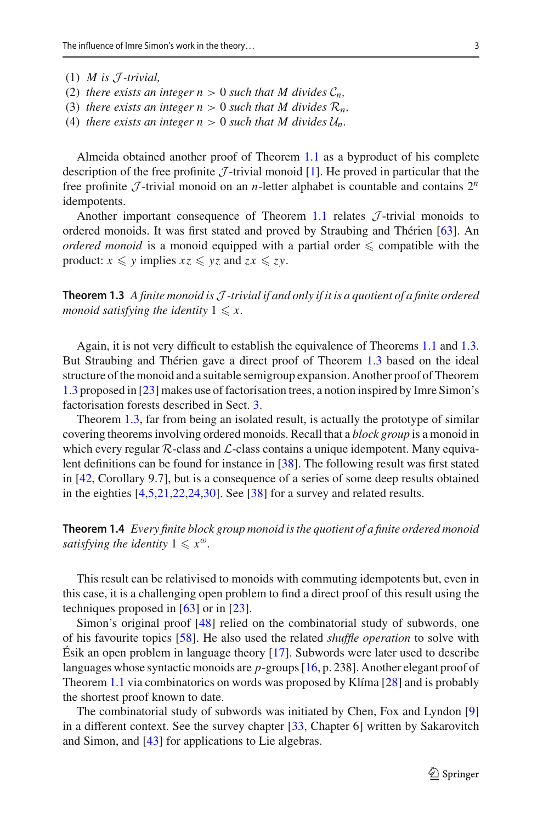- $(1)$  *M* is  $\mathcal{I}$ -trivial,
- (2) *there exists an integer*  $n > 0$  *such that M divides*  $C_n$ ,
- (3) *there exists an integer n* > 0 *such that M divides*  $\mathcal{R}_n$ *,*
- (4) *there exists an integer n* > 0 *such that M divides*  $U_n$ *.*

Almeida obtained another proof of Theorem [1.1](#page-1-0) as a byproduct of his complete description of the free profinite  $J$ -trivial monoid [\[1\]](#page-5-1). He proved in particular that the free profinite  $\mathcal{J}$ -trivial monoid on an *n*-letter alphabet is countable and contains  $2^n$ idempotents.

Another important consequence of Theorem [1.1](#page-1-0) relates  $J$ -trivial monoids to ordered monoids. It was first stated and proved by Straubing and Thérien [\[63\]](#page-7-4). An *ordered monoid* is a monoid equipped with a partial order  $\leq$  compatible with the product:  $x \leq y$  implies  $xz \leq yz$  and  $zx \leq zy$ .

<span id="page-2-0"></span>**Theorem 1.3** *A finite monoid isJ -trivial if and only if it is a quotient of a finite ordered monoid satisfying the identity*  $1 \leqslant x$ .

Again, it is not very difficult to establish the equivalence of Theorems [1.1](#page-1-0) and [1.3.](#page-2-0) But Straubing and Thérien gave a direct proof of Theorem [1.3](#page-2-0) based on the ideal structure of the monoid and a suitable semigroup expansion. Another proof of Theorem [1.3](#page-2-0) proposed in [\[23\]](#page-6-0) makes use of factorisation trees, a notion inspired by Imre Simon's factorisation forests described in Sect. [3.](#page-3-1)

Theorem [1.3,](#page-2-0) far from being an isolated result, is actually the prototype of similar covering theorems involving ordered monoids. Recall that a *block group* is a monoid in which every regular  $R$ -class and  $L$ -class contains a unique idempotent. Many equivalent definitions can be found for instance in [\[38](#page-6-5)]. The following result was first stated in [\[42](#page-6-6), Corollary 9.7], but is a consequence of a series of some deep results obtained in the eighties [\[4](#page-5-5)[,5](#page-5-6)[,21](#page-6-7)[,22](#page-6-8)[,24](#page-6-9)[,30\]](#page-6-10). See [\[38](#page-6-5)] for a survey and related results.

**Theorem 1.4** *Every finite block group monoid is the quotient of a finite ordered monoid satisfying the identity*  $1 \leq x^{\omega}$ *.* 

This result can be relativised to monoids with commuting idempotents but, even in this case, it is a challenging open problem to find a direct proof of this result using the techniques proposed in [\[63](#page-7-4)] or in [\[23](#page-6-0)].

Simon's original proof [\[48](#page-7-2)] relied on the combinatorial study of subwords, one of his favourite topics [\[58](#page-7-7)]. He also used the related *shuffle operation* to solve with Ésik an open problem in language theory [\[17\]](#page-5-7). Subwords were later used to describe languages whose syntactic monoids are *p*-groups [\[16](#page-5-3), p. 238]. Another elegant proof of Theorem [1.1](#page-1-0) via combinatorics on words was proposed by Klíma [\[28](#page-6-2)] and is probably the shortest proof known to date.

The combinatorial study of subwords was initiated by Chen, Fox and Lyndon [\[9\]](#page-5-8) in a different context. See the survey chapter [\[33](#page-6-11), Chapter 6] written by Sakarovitch and Simon, and [\[43\]](#page-6-12) for applications to Lie algebras.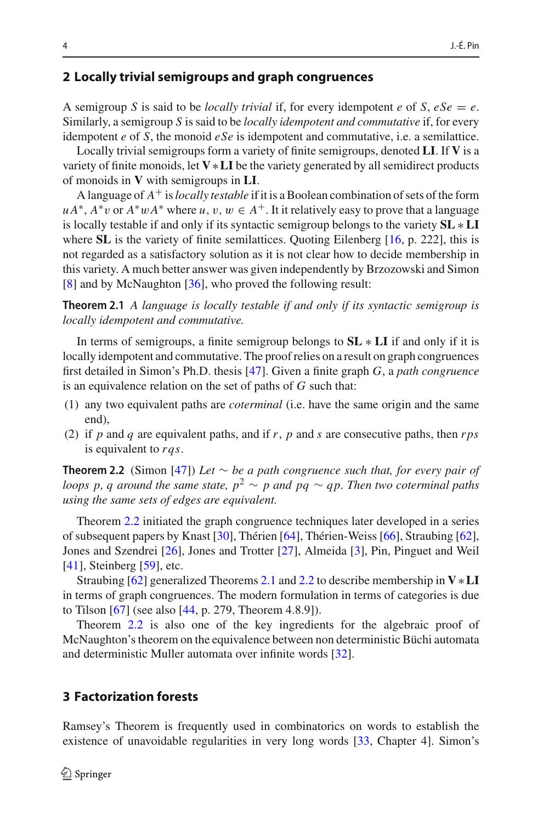#### **2 Locally trivial semigroups and graph congruences**

A semigroup *S* is said to be *locally trivial* if, for every idempotent *e* of *S*,  $eSe = e$ . Similarly, a semigroup *S* is said to be *locally idempotent and commutative* if, for every idempotent *e* of *S*, the monoid *eSe* is idempotent and commutative, i.e. a semilattice.

Locally trivial semigroups form a variety of finite semigroups, denoted **LI**. If **V** is a variety of finite monoids, let **V**∗**LI** be the variety generated by all semidirect products of monoids in **V** with semigroups in **LI**.

A language of *A*+ is*locally testable* if it is a Boolean combination of sets of the form  $u A^*$ ,  $A^* v$  or  $A^* w A^*$  where *u*,  $v, w \in A^+$ . It it relatively easy to prove that a language is locally testable if and only if its syntactic semigroup belongs to the variety **SL** ∗ **LI** where **SL** is the variety of finite semilattices. Quoting Eilenberg [\[16,](#page-5-3) p. 222], this is not regarded as a satisfactory solution as it is not clear how to decide membership in this variety. A much better answer was given independently by Brzozowski and Simon [\[8](#page-5-9)] and by McNaughton [\[36\]](#page-6-13), who proved the following result:

<span id="page-3-0"></span>**Theorem 2.1** *A language is locally testable if and only if its syntactic semigroup is locally idempotent and commutative.*

In terms of semigroups, a finite semigroup belongs to **SL** ∗ **LI** if and only if it is locally idempotent and commutative. The proof relies on a result on graph congruences first detailed in Simon's Ph.D. thesis [\[47\]](#page-7-1). Given a finite graph *G*, a *path congruence* is an equivalence relation on the set of paths of *G* such that:

- (1) any two equivalent paths are *coterminal* (i.e. have the same origin and the same end),
- (2) if *p* and *q* are equivalent paths, and if *r*, *p* and *s* are consecutive paths, then *rps* is equivalent to *rqs*.

<span id="page-3-2"></span>**Theorem 2.2** (Simon [\[47\]](#page-7-1)) *Let* ∼ *be a path congruence such that, for every pair of loops p, q around the same state,*  $p^2 \sim p$  *and pq*  $\sim qp$ *. Then two coterminal paths using the same sets of edges are equivalent.*

Theorem [2.2](#page-3-2) initiated the graph congruence techniques later developed in a series of subsequent papers by Knast [\[30\]](#page-6-10), Thérien [\[64\]](#page-7-8), Thérien-Weiss [\[66](#page-7-9)], Straubing [\[62](#page-7-10)], Jones and Szendrei [\[26\]](#page-6-14), Jones and Trotter [\[27\]](#page-6-15), Almeida [\[3\]](#page-5-10), Pin, Pinguet and Weil [\[41](#page-6-16)], Steinberg [\[59](#page-7-11)], etc.

Straubing [\[62](#page-7-10)] generalized Theorems [2.1](#page-3-0) and [2.2](#page-3-2) to describe membership in **V**∗**LI** in terms of graph congruences. The modern formulation in terms of categories is due to Tilson [\[67\]](#page-7-12) (see also [\[44](#page-6-17), p. 279, Theorem 4.8.9]).

Theorem [2.2](#page-3-2) is also one of the key ingredients for the algebraic proof of McNaughton's theorem on the equivalence between non deterministic Büchi automata and deterministic Muller automata over infinite words [\[32](#page-6-18)].

#### <span id="page-3-1"></span>**3 Factorization forests**

Ramsey's Theorem is frequently used in combinatorics on words to establish the existence of unavoidable regularities in very long words [\[33](#page-6-11), Chapter 4]. Simon's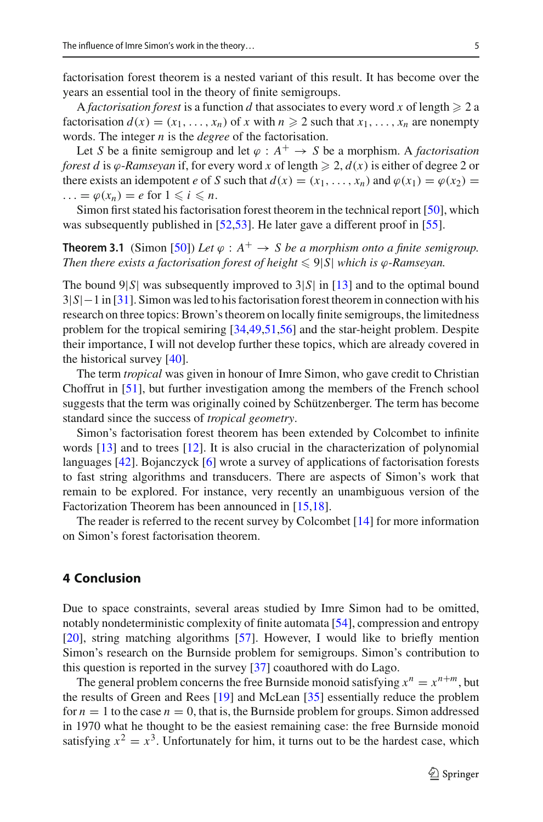factorisation forest theorem is a nested variant of this result. It has become over the years an essential tool in the theory of finite semigroups.

A *factorisation forest* is a function *d* that associates to every word *x* of length  $\geq 2$  a factorisation  $d(x) = (x_1, \ldots, x_n)$  of *x* with  $n \ge 2$  such that  $x_1, \ldots, x_n$  are nonempty words. The integer *n* is the *degree* of the factorisation.

Let *S* be a finite semigroup and let  $\varphi : A^+ \to S$  be a morphism. A *factorisation forest d* is  $\varphi$ -*Ramseyan* if, for every word *x* of length  $\geq 2$ ,  $d(x)$  is either of degree 2 or there exists an idempotent *e* of *S* such that  $d(x) = (x_1, \ldots, x_n)$  and  $\varphi(x_1) = \varphi(x_2) =$  $\ldots = \varphi(x_n) = e \text{ for } 1 \leq i \leq n.$ 

Simon first stated his factorisation forest theorem in the technical report [\[50](#page-7-13)], which was subsequently published in [\[52](#page-7-14)[,53](#page-7-15)]. He later gave a different proof in [\[55\]](#page-7-16).

**Theorem 3.1** (Simon [\[50](#page-7-13)]) Let  $\varphi : A^+ \to S$  be a morphism onto a finite semigroup. Then there exists a factorisation forest of height  $\leqslant 9|S|$  which is  $\varphi$ -Ramseyan.

The bound  $9|S|$  was subsequently improved to  $3|S|$  in [\[13](#page-5-11)] and to the optimal bound 3|*S*|−1 in [\[31\]](#page-6-19). Simon was led to his factorisation forest theorem in connection with his research on three topics: Brown's theorem on locally finite semigroups, the limitedness problem for the tropical semiring [\[34](#page-6-20)[,49](#page-7-17)[,51](#page-7-18)[,56\]](#page-7-19) and the star-height problem. Despite their importance, I will not develop further these topics, which are already covered in the historical survey [\[40](#page-6-21)].

The term *tropical* was given in honour of Imre Simon, who gave credit to Christian Choffrut in [\[51\]](#page-7-18), but further investigation among the members of the French school suggests that the term was originally coined by Schützenberger. The term has become standard since the success of *tropical geometry*.

Simon's factorisation forest theorem has been extended by Colcombet to infinite words [\[13](#page-5-11)] and to trees [\[12](#page-5-12)]. It is also crucial in the characterization of polynomial languages [\[42](#page-6-6)]. Bojanczyck [\[6\]](#page-5-13) wrote a survey of applications of factorisation forests to fast string algorithms and transducers. There are aspects of Simon's work that remain to be explored. For instance, very recently an unambiguous version of the Factorization Theorem has been announced in [\[15](#page-5-14)[,18\]](#page-5-15).

The reader is referred to the recent survey by Colcombet [\[14](#page-5-16)] for more information on Simon's forest factorisation theorem.

#### **4 Conclusion**

Due to space constraints, several areas studied by Imre Simon had to be omitted, notably nondeterministic complexity of finite automata [\[54\]](#page-7-20), compression and entropy [\[20](#page-6-22)], string matching algorithms [\[57](#page-7-21)]. However, I would like to briefly mention Simon's research on the Burnside problem for semigroups. Simon's contribution to this question is reported in the survey [\[37\]](#page-6-23) coauthored with do Lago.

The general problem concerns the free Burnside monoid satisfying  $x^n = x^{n+m}$ , but the results of Green and Rees [\[19](#page-5-17)] and McLean [\[35](#page-6-24)] essentially reduce the problem for  $n = 1$  to the case  $n = 0$ , that is, the Burnside problem for groups. Simon addressed in 1970 what he thought to be the easiest remaining case: the free Burnside monoid satisfying  $x^2 = x^3$ . Unfortunately for him, it turns out to be the hardest case, which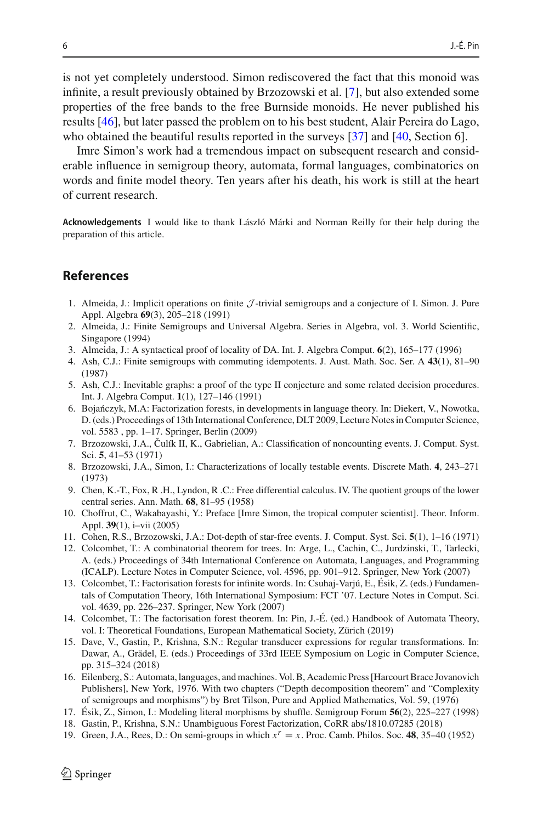is not yet completely understood. Simon rediscovered the fact that this monoid was infinite, a result previously obtained by Brzozowski et al. [\[7\]](#page-5-18), but also extended some properties of the free bands to the free Burnside monoids. He never published his results [\[46](#page-7-22)], but later passed the problem on to his best student, Alair Pereira do Lago, who obtained the beautiful results reported in the surveys [\[37\]](#page-6-23) and [\[40,](#page-6-21) Section 6].

Imre Simon's work had a tremendous impact on subsequent research and considerable influence in semigroup theory, automata, formal languages, combinatorics on words and finite model theory. Ten years after his death, his work is still at the heart of current research.

**Acknowledgements** I would like to thank László Márki and Norman Reilly for their help during the preparation of this article.

### **References**

- <span id="page-5-1"></span>1. Almeida, J.: Implicit operations on finite *J* -trivial semigroups and a conjecture of I. Simon. J. Pure Appl. Algebra **69**(3), 205–218 (1991)
- <span id="page-5-2"></span>2. Almeida, J.: Finite Semigroups and Universal Algebra. Series in Algebra, vol. 3. World Scientific, Singapore (1994)
- <span id="page-5-10"></span>3. Almeida, J.: A syntactical proof of locality of DA. Int. J. Algebra Comput. **6**(2), 165–177 (1996)
- <span id="page-5-5"></span>4. Ash, C.J.: Finite semigroups with commuting idempotents. J. Aust. Math. Soc. Ser. A **43**(1), 81–90 (1987)
- <span id="page-5-6"></span>5. Ash, C.J.: Inevitable graphs: a proof of the type II conjecture and some related decision procedures. Int. J. Algebra Comput. **1**(1), 127–146 (1991)
- <span id="page-5-13"></span>6. Bojańczyk, M.A: Factorization forests, in developments in language theory. In: Diekert, V., Nowotka, D. (eds.) Proceedings of 13th International Conference, DLT 2009, Lecture Notes in Computer Science, vol. 5583 , pp. 1–17. Springer, Berlin (2009)
- <span id="page-5-18"></span>7. Brzozowski, J.A., Culík II, K., Gabrielian, A.: Classification of noncounting events. J. Comput. Syst. ˇ Sci. **5**, 41–53 (1971)
- <span id="page-5-9"></span>8. Brzozowski, J.A., Simon, I.: Characterizations of locally testable events. Discrete Math. **4**, 243–271 (1973)
- <span id="page-5-8"></span>9. Chen, K.-T., Fox, R .H., Lyndon, R .C.: Free differential calculus. IV. The quotient groups of the lower central series. Ann. Math. **68**, 81–95 (1958)
- <span id="page-5-0"></span>10. Choffrut, C., Wakabayashi, Y.: Preface [Imre Simon, the tropical computer scientist]. Theor. Inform. Appl. **39**(1), i–vii (2005)
- <span id="page-5-4"></span>11. Cohen, R.S., Brzozowski, J.A.: Dot-depth of star-free events. J. Comput. Syst. Sci. **5**(1), 1–16 (1971)
- <span id="page-5-12"></span>12. Colcombet, T.: A combinatorial theorem for trees. In: Arge, L., Cachin, C., Jurdzinski, T., Tarlecki, A. (eds.) Proceedings of 34th International Conference on Automata, Languages, and Programming (ICALP). Lecture Notes in Computer Science, vol. 4596, pp. 901–912. Springer, New York (2007)
- <span id="page-5-11"></span>13. Colcombet, T.: Factorisation forests for infinite words. In: Csuhaj-Varjú, E., Ésik, Z. (eds.) Fundamentals of Computation Theory, 16th International Symposium: FCT '07. Lecture Notes in Comput. Sci. vol. 4639, pp. 226–237. Springer, New York (2007)
- <span id="page-5-16"></span>14. Colcombet, T.: The factorisation forest theorem. In: Pin, J.-É. (ed.) Handbook of Automata Theory, vol. I: Theoretical Foundations, European Mathematical Society, Zürich (2019)
- <span id="page-5-14"></span>15. Dave, V., Gastin, P., Krishna, S.N.: Regular transducer expressions for regular transformations. In: Dawar, A., Grädel, E. (eds.) Proceedings of 33rd IEEE Symposium on Logic in Computer Science, pp. 315–324 (2018)
- <span id="page-5-3"></span>16. Eilenberg, S.: Automata, languages, and machines. Vol. B, Academic Press [Harcourt Brace Jovanovich Publishers], New York, 1976. With two chapters ("Depth decomposition theorem" and "Complexity of semigroups and morphisms") by Bret Tilson, Pure and Applied Mathematics, Vol. 59, (1976)
- <span id="page-5-7"></span>17. Ésik, Z., Simon, I.: Modeling literal morphisms by shuffle. Semigroup Forum **56**(2), 225–227 (1998)
- <span id="page-5-15"></span>18. Gastin, P., Krishna, S.N.: Unambiguous Forest Factorization, CoRR abs/1810.07285 (2018)
- <span id="page-5-17"></span>19. Green, J.A., Rees, D.: On semi-groups in which *<sup>x</sup><sup>r</sup>* <sup>=</sup> *<sup>x</sup>*. Proc. Camb. Philos. Soc. **<sup>48</sup>**, 35–40 (1952)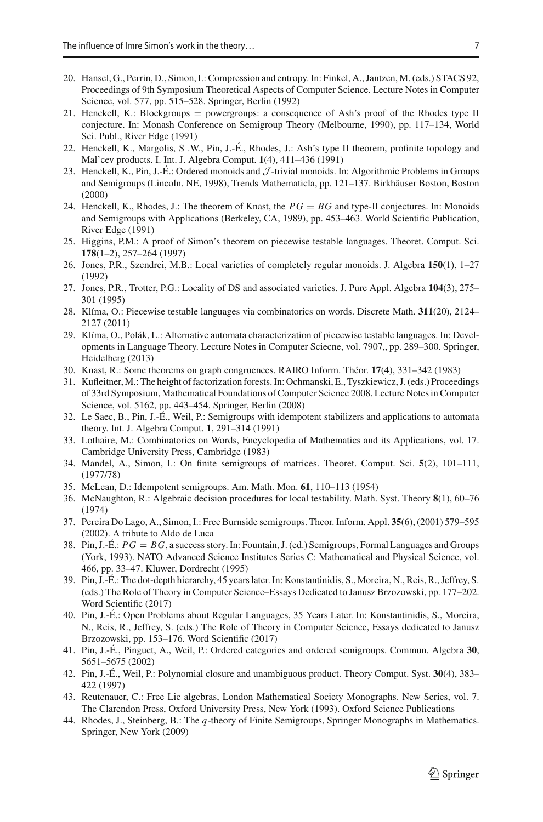- <span id="page-6-22"></span>20. Hansel, G., Perrin, D., Simon, I.: Compression and entropy. In: Finkel, A., Jantzen, M. (eds.) STACS 92, Proceedings of 9th Symposium Theoretical Aspects of Computer Science. Lecture Notes in Computer Science, vol. 577, pp. 515–528. Springer, Berlin (1992)
- <span id="page-6-7"></span>21. Henckell, K.: Blockgroups = powergroups: a consequence of Ash's proof of the Rhodes type II conjecture. In: Monash Conference on Semigroup Theory (Melbourne, 1990), pp. 117–134, World Sci. Publ., River Edge (1991)
- <span id="page-6-8"></span>22. Henckell, K., Margolis, S .W., Pin, J.-É., Rhodes, J.: Ash's type II theorem, profinite topology and Mal'cev products. I. Int. J. Algebra Comput. **1**(4), 411–436 (1991)
- <span id="page-6-0"></span>23. Henckell, K., Pin, J.-É.: Ordered monoids and *J* -trivial monoids. In: Algorithmic Problems in Groups and Semigroups (Lincoln. NE, 1998), Trends Mathematicla, pp. 121–137. Birkhäuser Boston, Boston (2000)
- <span id="page-6-9"></span>24. Henckell, K., Rhodes, J.: The theorem of Knast, the *PG* = *BG* and type-II conjectures. In: Monoids and Semigroups with Applications (Berkeley, CA, 1989), pp. 453–463. World Scientific Publication, River Edge (1991)
- <span id="page-6-1"></span>25. Higgins, P.M.: A proof of Simon's theorem on piecewise testable languages. Theoret. Comput. Sci. **178**(1–2), 257–264 (1997)
- <span id="page-6-14"></span>26. Jones, P.R., Szendrei, M.B.: Local varieties of completely regular monoids. J. Algebra **150**(1), 1–27 (1992)
- <span id="page-6-15"></span>27. Jones, P.R., Trotter, P.G.: Locality of DS and associated varieties. J. Pure Appl. Algebra **104**(3), 275– 301 (1995)
- <span id="page-6-2"></span>28. Klíma, O.: Piecewise testable languages via combinatorics on words. Discrete Math. **311**(20), 2124– 2127 (2011)
- <span id="page-6-3"></span>29. Klíma, O., Polák, L.: Alternative automata characterization of piecewise testable languages. In: Developments in Language Theory. Lecture Notes in Computer Sciecne, vol. 7907,, pp. 289–300. Springer, Heidelberg (2013)
- <span id="page-6-10"></span>30. Knast, R.: Some theorems on graph congruences. RAIRO Inform. Théor. **17**(4), 331–342 (1983)
- <span id="page-6-19"></span>31. Kufleitner,M.: The height of factorization forests. In: Ochmanski, E., Tyszkiewicz, J. (eds.) Proceedings of 33rd Symposium, Mathematical Foundations of Computer Science 2008. Lecture Notes in Computer Science, vol. 5162, pp. 443–454. Springer, Berlin (2008)
- <span id="page-6-18"></span>32. Le Saec, B., Pin, J.-É., Weil, P.: Semigroups with idempotent stabilizers and applications to automata theory. Int. J. Algebra Comput. **1**, 291–314 (1991)
- <span id="page-6-11"></span>33. Lothaire, M.: Combinatorics on Words, Encyclopedia of Mathematics and its Applications, vol. 17. Cambridge University Press, Cambridge (1983)
- <span id="page-6-20"></span>34. Mandel, A., Simon, I.: On finite semigroups of matrices. Theoret. Comput. Sci. **5**(2), 101–111, (1977/78)
- <span id="page-6-24"></span>35. McLean, D.: Idempotent semigroups. Am. Math. Mon. **61**, 110–113 (1954)
- <span id="page-6-13"></span>36. McNaughton, R.: Algebraic decision procedures for local testability. Math. Syst. Theory **8**(1), 60–76 (1974)
- <span id="page-6-23"></span>37. Pereira Do Lago, A., Simon, I.: Free Burnside semigroups. Theor. Inform. Appl. **35**(6), (2001) 579–595 (2002). A tribute to Aldo de Luca
- <span id="page-6-5"></span>38. Pin, J.-É.: *PG* = *BG*, a success story. In: Fountain, J. (ed.) Semigroups, Formal Languages and Groups (York, 1993). NATO Advanced Science Institutes Series C: Mathematical and Physical Science, vol. 466, pp. 33–47. Kluwer, Dordrecht (1995)
- <span id="page-6-4"></span>39. Pin, J.-É.: The dot-depth hierarchy, 45 years later. In: Konstantinidis, S., Moreira, N., Reis, R., Jeffrey, S. (eds.) The Role of Theory in Computer Science–Essays Dedicated to Janusz Brzozowski, pp. 177–202. Word Scientific (2017)
- <span id="page-6-21"></span>40. Pin, J.-É.: Open Problems about Regular Languages, 35 Years Later. In: Konstantinidis, S., Moreira, N., Reis, R., Jeffrey, S. (eds.) The Role of Theory in Computer Science, Essays dedicated to Janusz Brzozowski, pp. 153–176. Word Scientific (2017)
- <span id="page-6-16"></span>41. Pin, J.-É., Pinguet, A., Weil, P.: Ordered categories and ordered semigroups. Commun. Algebra **30**, 5651–5675 (2002)
- <span id="page-6-6"></span>42. Pin, J.-É., Weil, P.: Polynomial closure and unambiguous product. Theory Comput. Syst. **30**(4), 383– 422 (1997)
- <span id="page-6-12"></span>43. Reutenauer, C.: Free Lie algebras, London Mathematical Society Monographs. New Series, vol. 7. The Clarendon Press, Oxford University Press, New York (1993). Oxford Science Publications
- <span id="page-6-17"></span>44. Rhodes, J., Steinberg, B.: The *q*-theory of Finite Semigroups, Springer Monographs in Mathematics. Springer, New York (2009)